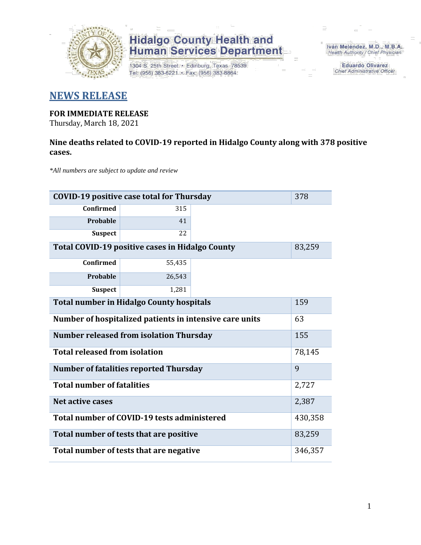

1304 S. 25th Street · Edinburg, Texas 78539 Tel: (956) 383-6221 · Fax: (956) 383-8864

Iván Meléndez, M.D., M.B.A. Health Authority / Chief Physician

> **Eduardo Olivarez** Chief Administrative Officer

### **NEWS RELEASE**

#### **FOR IMMEDIATE RELEASE**

Thursday, March 18, 2021

### **Nine deaths related to COVID-19 reported in Hidalgo County along with 378 positive cases.**

*\*All numbers are subject to update and review*

| <b>COVID-19 positive case total for Thursday</b><br>378          |                                               |  |         |  |  |  |  |  |  |
|------------------------------------------------------------------|-----------------------------------------------|--|---------|--|--|--|--|--|--|
| <b>Confirmed</b>                                                 | 315                                           |  |         |  |  |  |  |  |  |
| Probable                                                         | 41                                            |  |         |  |  |  |  |  |  |
| <b>Suspect</b>                                                   | 22                                            |  |         |  |  |  |  |  |  |
| <b>Total COVID-19 positive cases in Hidalgo County</b><br>83,259 |                                               |  |         |  |  |  |  |  |  |
| <b>Confirmed</b>                                                 | 55,435                                        |  |         |  |  |  |  |  |  |
| Probable                                                         | 26,543                                        |  |         |  |  |  |  |  |  |
| <b>Suspect</b>                                                   | 1,281                                         |  |         |  |  |  |  |  |  |
| <b>Total number in Hidalgo County hospitals</b><br>159           |                                               |  |         |  |  |  |  |  |  |
| Number of hospitalized patients in intensive care units<br>63    |                                               |  |         |  |  |  |  |  |  |
| <b>Number released from isolation Thursday</b><br>155            |                                               |  |         |  |  |  |  |  |  |
| <b>Total released from isolation</b><br>78,145                   |                                               |  |         |  |  |  |  |  |  |
|                                                                  | <b>Number of fatalities reported Thursday</b> |  | 9       |  |  |  |  |  |  |
| <b>Total number of fatalities</b>                                |                                               |  | 2,727   |  |  |  |  |  |  |
| Net active cases                                                 |                                               |  | 2,387   |  |  |  |  |  |  |
|                                                                  | Total number of COVID-19 tests administered   |  | 430,358 |  |  |  |  |  |  |
|                                                                  | Total number of tests that are positive       |  | 83,259  |  |  |  |  |  |  |
| Total number of tests that are negative                          |                                               |  |         |  |  |  |  |  |  |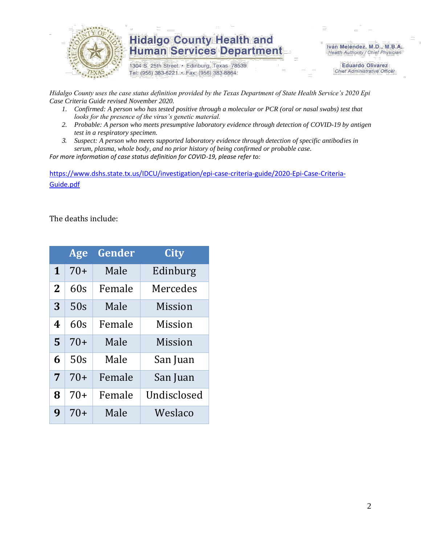

1304 S. 25th Street · Edinburg, Texas 78539 Tel: (956) 383-6221 · Fax: (956) 383-8864

Iván Meléndez, M.D., M.B.A. Health Authority / Chief Physician

> **Eduardo Olivarez Chief Administrative Officer**

*Hidalgo County uses the case status definition provided by the Texas Department of State Health Service's 2020 Epi Case Criteria Guide revised November 2020.*

- *1. Confirmed: A person who has tested positive through a molecular or PCR (oral or nasal swabs) test that looks for the presence of the virus's genetic material.*
- *2. Probable: A person who meets presumptive laboratory evidence through detection of COVID-19 by antigen test in a respiratory specimen.*
- *3. Suspect: A person who meets supported laboratory evidence through detection of specific antibodies in serum, plasma, whole body, and no prior history of being confirmed or probable case.*

*For more information of case status definition for COVID-19, please refer to:*

[https://www.dshs.state.tx.us/IDCU/investigation/epi-case-criteria-guide/2020-Epi-Case-Criteria-](https://www.dshs.state.tx.us/IDCU/investigation/epi-case-criteria-guide/2020-Epi-Case-Criteria-Guide.pdf)[Guide.pdf](https://www.dshs.state.tx.us/IDCU/investigation/epi-case-criteria-guide/2020-Epi-Case-Criteria-Guide.pdf)

The deaths include:

|              | Age   | Gender | City        |
|--------------|-------|--------|-------------|
| 1            | $70+$ | Male   | Edinburg    |
| $\mathbf{2}$ | 60s   | Female | Mercedes    |
| 3            | 50s   | Male   | Mission     |
| 4            | 60s   | Female | Mission     |
| 5            | $70+$ | Male   | Mission     |
| 6            | 50s   | Male   | San Juan    |
| 7            | $70+$ | Female | San Juan    |
| 8            | $70+$ | Female | Undisclosed |
| 9            | 70+   | Male   | Weslaco     |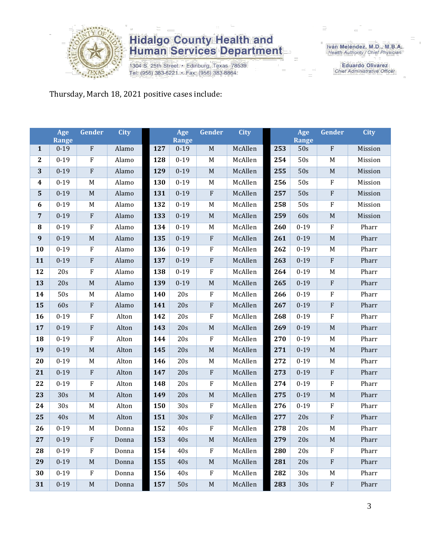

1304 S. 25th Street • Edinburg, Texas 78539<br>Tel: (956) 383-6221 • Fax: (956) 383-8864

Iván Meléndez, M.D., M.B.A.<br>Health Authority / Chief Physician

**Eduardo Olivarez** Chief Administrative Officer

Thursday, March 18, 2021 positive cases include:

|                  | Age<br><b>Range</b> | Gender                    | <b>City</b> |     | Age<br><b>Range</b> | Gender                    | <b>City</b> |     | Age<br>Range | Gender      | <b>City</b> |
|------------------|---------------------|---------------------------|-------------|-----|---------------------|---------------------------|-------------|-----|--------------|-------------|-------------|
| $\mathbf{1}$     | $0 - 19$            | ${\bf F}$                 | Alamo       | 127 | $0 - 19$            | $\mathbf M$               | McAllen     | 253 | 50s          | ${\bf F}$   | Mission     |
| $\boldsymbol{2}$ | $0 - 19$            | $\boldsymbol{\mathrm{F}}$ | Alamo       | 128 | $0 - 19$            | M                         | McAllen     | 254 | 50s          | M           | Mission     |
| 3                | $0 - 19$            | $\rm F$                   | Alamo       | 129 | $0 - 19$            | $\mathbf M$               | McAllen     | 255 | 50s          | $\mathbf M$ | Mission     |
| $\boldsymbol{4}$ | $0 - 19$            | M                         | Alamo       | 130 | $0-19$              | $\mathbf M$               | McAllen     | 256 | 50s          | $\rm F$     | Mission     |
| $\mathbf{5}$     | $0 - 19$            | $\mathbf M$               | Alamo       | 131 | $0 - 19$            | ${\bf F}$                 | McAllen     | 257 | 50s          | $\rm F$     | Mission     |
| 6                | $0 - 19$            | $\mathbf M$               | Alamo       | 132 | $0 - 19$            | $\mathbf M$               | McAllen     | 258 | 50s          | $\rm F$     | Mission     |
| $\overline{7}$   | $0 - 19$            | ${\bf F}$                 | Alamo       | 133 | $0 - 19$            | $\mathbf M$               | McAllen     | 259 | 60s          | $\mathbf M$ | Mission     |
| ${\bf 8}$        | $0 - 19$            | $\rm F$                   | Alamo       | 134 | $0 - 19$            | $\mathbf M$               | McAllen     | 260 | $0 - 19$     | ${\bf F}$   | Pharr       |
| $\boldsymbol{9}$ | $0 - 19$            | $\mathbf M$               | Alamo       | 135 | $0 - 19$            | ${\bf F}$                 | McAllen     | 261 | $0 - 19$     | $\mathbf M$ | Pharr       |
| 10               | $0 - 19$            | ${\bf F}$                 | Alamo       | 136 | $0 - 19$            | $\rm F$                   | McAllen     | 262 | $0 - 19$     | M           | Pharr       |
| 11               | $0 - 19$            | ${\bf F}$                 | Alamo       | 137 | $0 - 19$            | $\rm F$                   | McAllen     | 263 | $0 - 19$     | ${\bf F}$   | Pharr       |
| 12               | 20s                 | ${\bf F}$                 | Alamo       | 138 | $0 - 19$            | $\rm F$                   | McAllen     | 264 | $0 - 19$     | M           | Pharr       |
| 13               | 20s                 | $\mathbf M$               | Alamo       | 139 | $0 - 19$            | $\mathbf M$               | McAllen     | 265 | $0 - 19$     | $\rm F$     | Pharr       |
| 14               | 50s                 | M                         | Alamo       | 140 | 20s                 | $\rm F$                   | McAllen     | 266 | $0 - 19$     | $\rm F$     | Pharr       |
| 15               | 60s                 | ${\bf F}$                 | Alamo       | 141 | 20s                 | ${\bf F}$                 | McAllen     | 267 | $0 - 19$     | $\rm F$     | Pharr       |
| 16               | $0 - 19$            | ${\bf F}$                 | Alton       | 142 | 20s                 | ${\bf F}$                 | McAllen     | 268 | $0 - 19$     | $\rm F$     | Pharr       |
| 17               | $0 - 19$            | ${\bf F}$                 | Alton       | 143 | 20s                 | $\mathbf M$               | McAllen     | 269 | $0 - 19$     | $\mathbf M$ | Pharr       |
| 18               | $0 - 19$            | ${\bf F}$                 | Alton       | 144 | 20s                 | $\rm F$                   | McAllen     | 270 | $0 - 19$     | M           | Pharr       |
| 19               | $0 - 19$            | $\mathbf M$               | Alton       | 145 | 20s                 | $\mathbf M$               | McAllen     | 271 | $0 - 19$     | $\mathbf M$ | Pharr       |
| 20               | $0 - 19$            | M                         | Alton       | 146 | 20s                 | $\mathbf M$               | McAllen     | 272 | $0 - 19$     | M           | Pharr       |
| 21               | $0 - 19$            | ${\bf F}$                 | Alton       | 147 | 20s                 | ${\bf F}$                 | McAllen     | 273 | $0 - 19$     | $\rm F$     | Pharr       |
| 22               | $0 - 19$            | ${\bf F}$                 | Alton       | 148 | 20s                 | ${\bf F}$                 | McAllen     | 274 | $0 - 19$     | $\rm F$     | Pharr       |
| 23               | 30s                 | $\mathbf M$               | Alton       | 149 | 20s                 | $\mathbf M$               | McAllen     | 275 | $0 - 19$     | $\mathbf M$ | Pharr       |
| 24               | 30s                 | M                         | Alton       | 150 | 30s                 | ${\bf F}$                 | McAllen     | 276 | $0 - 19$     | ${\bf F}$   | Pharr       |
| 25               | 40s                 | $\mathbf M$               | Alton       | 151 | 30s                 | ${\bf F}$                 | McAllen     | 277 | 20s          | $\rm F$     | Pharr       |
| 26               | $0 - 19$            | M                         | Donna       | 152 | 40s                 | ${\bf F}$                 | McAllen     | 278 | 20s          | $\mathbf M$ | Pharr       |
| 27               | $0 - 19$            | ${\bf F}$                 | Donna       | 153 | 40s                 | $M_{\odot}$               | McAllen     | 279 | 20s          | M           | Pharr       |
| 28               | $0 - 19$            | ${\bf F}$                 | Donna       | 154 | 40s                 | $\boldsymbol{\mathrm{F}}$ | McAllen     | 280 | 20s          | $\rm F$     | Pharr       |
| 29               | $0 - 19$            | M                         | Donna       | 155 | 40s                 | $\mathbf M$               | McAllen     | 281 | 20s          | ${\bf F}$   | Pharr       |
| 30               | $0 - 19$            | F                         | Donna       | 156 | 40s                 | $\boldsymbol{\mathrm{F}}$ | McAllen     | 282 | 30s          | M           | Pharr       |
| 31               | $0 - 19$            | $\mathbf M$               | Donna       | 157 | 50s                 | $\mathbf M$               | McAllen     | 283 | 30s          | $\rm F$     | Pharr       |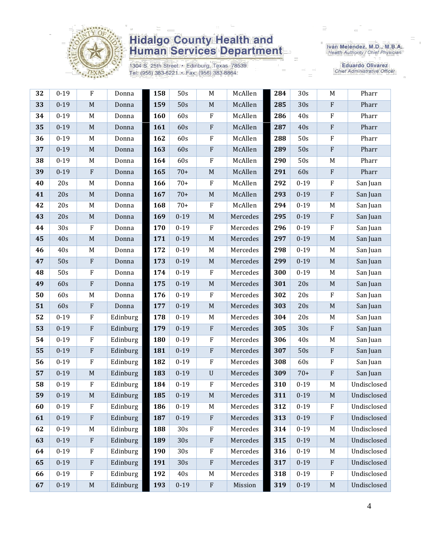

1304 S. 25th Street · Edinburg, Texas 78539 Tel: (956) 383-6221 · Fax: (956) 383-8864

Iván Meléndez, M.D., M.B.A.<br>Health Authority / Chief Physician

**Eduardo Olivarez** Chief Administrative Officer

| 32 | $0 - 19$ | $\rm F$                   | Donna    | 158 | 50s             | $\mathbf M$ | McAllen  | 284 | 30s      | $\mathbf M$               | Pharr       |
|----|----------|---------------------------|----------|-----|-----------------|-------------|----------|-----|----------|---------------------------|-------------|
| 33 | $0 - 19$ | $\mathbf M$               | Donna    | 159 | 50s             | $\mathbf M$ | McAllen  | 285 | 30s      | $\rm F$                   | Pharr       |
| 34 | $0 - 19$ | M                         | Donna    | 160 | 60s             | F           | McAllen  | 286 | 40s      | $\rm F$                   | Pharr       |
| 35 | $0 - 19$ | $\mathbf M$               | Donna    | 161 | 60s             | ${\bf F}$   | McAllen  | 287 | 40s      | $\rm F$                   | Pharr       |
| 36 | $0 - 19$ | M                         | Donna    | 162 | 60s             | ${\bf F}$   | McAllen  | 288 | 50s      | $\rm F$                   | Pharr       |
| 37 | $0 - 19$ | $\mathbf M$               | Donna    | 163 | 60s             | ${\bf F}$   | McAllen  | 289 | 50s      | ${\bf F}$                 | Pharr       |
| 38 | $0 - 19$ | M                         | Donna    | 164 | 60s             | F           | McAllen  | 290 | 50s      | M                         | Pharr       |
| 39 | $0 - 19$ | ${\bf F}$                 | Donna    | 165 | $70+$           | $\mathbf M$ | McAllen  | 291 | 60s      | $\rm F$                   | Pharr       |
| 40 | 20s      | M                         | Donna    | 166 | $70+$           | ${\bf F}$   | McAllen  | 292 | $0 - 19$ | $\rm F$                   | San Juan    |
| 41 | 20s      | $\mathbf M$               | Donna    | 167 | $70+$           | $\mathbf M$ | McAllen  | 293 | $0 - 19$ | $\rm F$                   | San Juan    |
| 42 | 20s      | M                         | Donna    | 168 | $70+$           | ${\bf F}$   | McAllen  | 294 | $0 - 19$ | M                         | San Juan    |
| 43 | 20s      | $\mathbf M$               | Donna    | 169 | $0 - 19$        | $\mathbf M$ | Mercedes | 295 | $0 - 19$ | $\rm F$                   | San Juan    |
| 44 | 30s      | $\mathbf F$               | Donna    | 170 | $0 - 19$        | ${\bf F}$   | Mercedes | 296 | $0 - 19$ | $\mathbf{F}$              | San Juan    |
| 45 | 40s      | $\mathbf M$               | Donna    | 171 | $0 - 19$        | $\mathbf M$ | Mercedes | 297 | $0 - 19$ | $\mathbf M$               | San Juan    |
| 46 | 40s      | M                         | Donna    | 172 | $0 - 19$        | $M_{\rm}$   | Mercedes | 298 | $0 - 19$ | M                         | San Juan    |
| 47 | 50s      | $\boldsymbol{\mathrm{F}}$ | Donna    | 173 | $0 - 19$        | $\mathbf M$ | Mercedes | 299 | $0 - 19$ | $\mathbf M$               | San Juan    |
| 48 | 50s      | ${\bf F}$                 | Donna    | 174 | $0 - 19$        | ${\bf F}$   | Mercedes | 300 | $0 - 19$ | M                         | San Juan    |
| 49 | 60s      | ${\bf F}$                 | Donna    | 175 | $0 - 19$        | $\mathbf M$ | Mercedes | 301 | 20s      | $\mathbf M$               | San Juan    |
| 50 | 60s      | M                         | Donna    | 176 | $0 - 19$        | ${\bf F}$   | Mercedes | 302 | 20s      | $\mathbf{F}$              | San Juan    |
| 51 | 60s      | $\rm F$                   | Donna    | 177 | $0 - 19$        | $\mathbf M$ | Mercedes | 303 | 20s      | $\mathbf M$               | San Juan    |
| 52 | $0 - 19$ | ${\bf F}$                 | Edinburg | 178 | $0 - 19$        | $\mathbf M$ | Mercedes | 304 | 20s      | M                         | San Juan    |
| 53 | $0 - 19$ | $\boldsymbol{\mathrm{F}}$ | Edinburg | 179 | $0 - 19$        | ${\bf F}$   | Mercedes | 305 | 30s      | $\rm F$                   | San Juan    |
| 54 | $0 - 19$ | ${\bf F}$                 | Edinburg | 180 | $0 - 19$        | $\rm F$     | Mercedes | 306 | 40s      | M                         | San Juan    |
| 55 | $0 - 19$ | $\rm F$                   | Edinburg | 181 | $0 - 19$        | ${\bf F}$   | Mercedes | 307 | 50s      | $\mathbf{F}$              | San Juan    |
| 56 | $0 - 19$ | $\rm F$                   | Edinburg | 182 | $0 - 19$        | ${\bf F}$   | Mercedes | 308 | 60s      | $\rm F$                   | San Juan    |
| 57 | $0 - 19$ | $\mathbf M$               | Edinburg | 183 | $0 - 19$        | $\mathbf U$ | Mercedes | 309 | $70+$    | $\rm F$                   | San Juan    |
| 58 | $0 - 19$ | F                         | Edinburg | 184 | $0 - 19$        | ${\bf F}$   | Mercedes | 310 | $0 - 19$ | M                         | Undisclosed |
| 59 | $0 - 19$ | $\mathbf M$               | Edinburg | 185 | $0 - 19$        | $\mathbf M$ | Mercedes | 311 | $0 - 19$ | M                         | Undisclosed |
| 60 | $0 - 19$ | F                         | Edinburg | 186 | $0 - 19$        | M           | Mercedes | 312 | $0 - 19$ | $\mathbf F$               | Undisclosed |
| 61 | $0 - 19$ | $\boldsymbol{\mathrm{F}}$ | Edinburg | 187 | $0 - 19$        | ${\bf F}$   | Mercedes | 313 | $0 - 19$ | $\rm F$                   | Undisclosed |
| 62 | $0 - 19$ | M                         | Edinburg | 188 | 30 <sub>s</sub> | ${\bf F}$   | Mercedes | 314 | $0 - 19$ | M                         | Undisclosed |
| 63 | $0 - 19$ | $\boldsymbol{\mathrm{F}}$ | Edinburg | 189 | 30s             | ${\bf F}$   | Mercedes | 315 | $0 - 19$ | $\mathbf M$               | Undisclosed |
| 64 | $0 - 19$ | $\rm F$                   | Edinburg | 190 | 30 <sub>s</sub> | ${\bf F}$   | Mercedes | 316 | $0 - 19$ | M                         | Undisclosed |
| 65 | $0 - 19$ | $\mathbf{F}$              | Edinburg | 191 | 30s             | ${\bf F}$   | Mercedes | 317 | $0 - 19$ | $\boldsymbol{\mathrm{F}}$ | Undisclosed |
| 66 | $0 - 19$ | $\rm F$                   | Edinburg | 192 | 40s             | M           | Mercedes | 318 | $0 - 19$ | $\rm F$                   | Undisclosed |
| 67 | $0 - 19$ | $\mathbf M$               | Edinburg | 193 | $0 - 19$        | ${\bf F}$   | Mission  | 319 | $0 - 19$ | $\mathbf M$               | Undisclosed |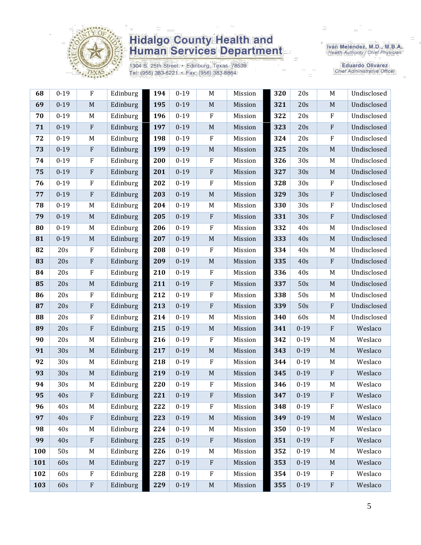

1304 S. 25th Street • Edinburg, Texas 78539<br>Tel: (956) 383-6221 • Fax: (956) 383-8864

Iván Meléndez, M.D., M.B.A.<br>Health Authority / Chief Physician

**Eduardo Olivarez** Chief Administrative Officer

| 68  | $0 - 19$ | ${\bf F}$                 | Edinburg | 194 | $0 - 19$ | $\mathbf M$               | Mission | 320 | 20s      | $\mathbf M$ | Undisclosed |
|-----|----------|---------------------------|----------|-----|----------|---------------------------|---------|-----|----------|-------------|-------------|
| 69  | $0 - 19$ | $\mathbf M$               | Edinburg | 195 | $0 - 19$ | $\mathbf M$               | Mission | 321 | 20s      | $\mathbf M$ | Undisclosed |
| 70  | $0 - 19$ | M                         | Edinburg | 196 | $0 - 19$ | $\rm F$                   | Mission | 322 | 20s      | $\rm F$     | Undisclosed |
| 71  | $0 - 19$ | $\boldsymbol{\mathrm{F}}$ | Edinburg | 197 | $0 - 19$ | $\mathbf M$               | Mission | 323 | 20s      | ${\bf F}$   | Undisclosed |
| 72  | $0 - 19$ | M                         | Edinburg | 198 | $0 - 19$ | $\rm F$                   | Mission | 324 | 20s      | $\rm F$     | Undisclosed |
| 73  | $0 - 19$ | $\boldsymbol{\mathrm{F}}$ | Edinburg | 199 | $0 - 19$ | M                         | Mission | 325 | 20s      | $\mathbf M$ | Undisclosed |
| 74  | $0 - 19$ | ${\bf F}$                 | Edinburg | 200 | $0 - 19$ | $\rm F$                   | Mission | 326 | 30s      | M           | Undisclosed |
| 75  | $0 - 19$ | ${\bf F}$                 | Edinburg | 201 | $0 - 19$ | $\rm F$                   | Mission | 327 | 30s      | $\mathbf M$ | Undisclosed |
| 76  | $0 - 19$ | ${\bf F}$                 | Edinburg | 202 | $0 - 19$ | $\rm F$                   | Mission | 328 | 30s      | $\rm F$     | Undisclosed |
| 77  | $0 - 19$ | ${\bf F}$                 | Edinburg | 203 | $0 - 19$ | $\mathbf M$               | Mission | 329 | 30s      | $\rm F$     | Undisclosed |
| 78  | $0 - 19$ | M                         | Edinburg | 204 | $0 - 19$ | $M_{\rm}$                 | Mission | 330 | 30s      | $\rm F$     | Undisclosed |
| 79  | $0 - 19$ | $\mathbf M$               | Edinburg | 205 | $0 - 19$ | $\rm F$                   | Mission | 331 | 30s      | $\rm F$     | Undisclosed |
| 80  | $0 - 19$ | M                         | Edinburg | 206 | $0 - 19$ | $\mathbf{F}$              | Mission | 332 | 40s      | M           | Undisclosed |
| 81  | $0 - 19$ | $\mathbf M$               | Edinburg | 207 | $0 - 19$ | $\mathbf M$               | Mission | 333 | 40s      | $\mathbf M$ | Undisclosed |
| 82  | 20s      | ${\bf F}$                 | Edinburg | 208 | $0 - 19$ | $\rm F$                   | Mission | 334 | 40s      | M           | Undisclosed |
| 83  | 20s      | ${\bf F}$                 | Edinburg | 209 | $0 - 19$ | $\mathbf M$               | Mission | 335 | 40s      | $\rm F$     | Undisclosed |
| 84  | 20s      | $\rm F$                   | Edinburg | 210 | $0 - 19$ | $\rm F$                   | Mission | 336 | 40s      | M           | Undisclosed |
| 85  | 20s      | $\mathbf M$               | Edinburg | 211 | $0 - 19$ | $\rm F$                   | Mission | 337 | 50s      | $\mathbf M$ | Undisclosed |
| 86  | 20s      | ${\bf F}$                 | Edinburg | 212 | $0 - 19$ | $\rm F$                   | Mission | 338 | 50s      | M           | Undisclosed |
| 87  | 20s      | ${\bf F}$                 | Edinburg | 213 | $0 - 19$ | $\rm F$                   | Mission | 339 | 50s      | $\rm F$     | Undisclosed |
| 88  | 20s      | ${\bf F}$                 | Edinburg | 214 | $0 - 19$ | M                         | Mission | 340 | 60s      | M           | Undisclosed |
| 89  | 20s      | ${\bf F}$                 | Edinburg | 215 | $0 - 19$ | $\mathbf M$               | Mission | 341 | $0 - 19$ | $\rm F$     | Weslaco     |
| 90  | 20s      | M                         | Edinburg | 216 | $0 - 19$ | $\mathbf{F}$              | Mission | 342 | $0 - 19$ | M           | Weslaco     |
| 91  | 30s      | $\mathbf M$               | Edinburg | 217 | $0 - 19$ | $\mathbf M$               | Mission | 343 | $0 - 19$ | $\mathbf M$ | Weslaco     |
| 92  | 30s      | M                         | Edinburg | 218 | $0 - 19$ | $\rm F$                   | Mission | 344 | $0 - 19$ | M           | Weslaco     |
| 93  | 30s      | $\mathbf M$               | Edinburg | 219 | $0 - 19$ | $\mathbf M$               | Mission | 345 | $0 - 19$ | $\rm F$     | Weslaco     |
| 94  | 30s      | M                         | Edinburg | 220 | $0 - 19$ | ${\bf F}$                 | Mission | 346 | $0 - 19$ | M           | Weslaco     |
| 95  | 40s      | ${\bf F}$                 | Edinburg | 221 | $0 - 19$ | ${\bf F}$                 | Mission | 347 | $0 - 19$ | $\rm F$     | Weslaco     |
| 96  | 40s      | M                         | Edinburg | 222 | $0 - 19$ | ${\bf F}$                 | Mission | 348 | $0 - 19$ | F           | Weslaco     |
| 97  | 40s      | $\boldsymbol{\mathrm{F}}$ | Edinburg | 223 | $0 - 19$ | $\mathbf M$               | Mission | 349 | $0 - 19$ | $\mathbf M$ | Weslaco     |
| 98  | 40s      | $\mathbf M$               | Edinburg | 224 | $0 - 19$ | M                         | Mission | 350 | $0 - 19$ | M           | Weslaco     |
| 99  | 40s      | ${\bf F}$                 | Edinburg | 225 | $0 - 19$ | $\rm F$                   | Mission | 351 | $0 - 19$ | ${\bf F}$   | Weslaco     |
| 100 | 50s      | M                         | Edinburg | 226 | $0 - 19$ | M                         | Mission | 352 | $0 - 19$ | M           | Weslaco     |
| 101 | 60s      | $\mathbf M$               | Edinburg | 227 | $0 - 19$ | $\boldsymbol{\mathrm{F}}$ | Mission | 353 | $0 - 19$ | $\mathbf M$ | Weslaco     |
| 102 | 60s      | $\rm F$                   | Edinburg | 228 | $0 - 19$ | $\rm F$                   | Mission | 354 | $0 - 19$ | $\rm F$     | Weslaco     |
|     |          |                           |          |     |          |                           |         |     |          |             |             |